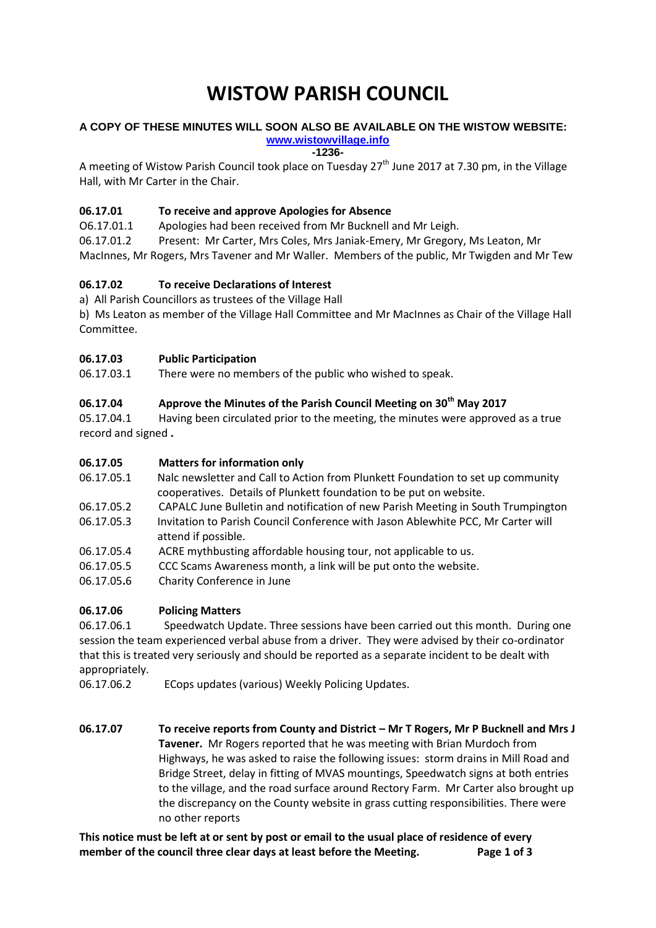# **WISTOW PARISH COUNCIL**

#### **A COPY OF THESE MINUTES WILL SOON ALSO BE AVAILABLE ON THE WISTOW WEBSITE: [www.wistowvillage.info](http://www.wistowvillage.info/)**

**-1236-**

A meeting of Wistow Parish Council took place on Tuesday  $27<sup>th</sup>$  June 2017 at 7.30 pm, in the Village Hall, with Mr Carter in the Chair.

# **06.17.01 To receive and approve Apologies for Absence**

O6.17.01.1 Apologies had been received from Mr Bucknell and Mr Leigh.

06.17.01.2 Present: Mr Carter, Mrs Coles, Mrs Janiak-Emery, Mr Gregory, Ms Leaton, Mr MacInnes, Mr Rogers, Mrs Tavener and Mr Waller. Members of the public, Mr Twigden and Mr Tew

# **06.17.02 To receive Declarations of Interest**

a) All Parish Councillors as trustees of the Village Hall

b) Ms Leaton as member of the Village Hall Committee and Mr MacInnes as Chair of the Village Hall Committee.

# **06.17.03 Public Participation**

06.17.03.1 There were no members of the public who wished to speak.

# **06.17.04 Approve the Minutes of the Parish Council Meeting on 30th May 2017**

05.17.04.1 Having been circulated prior to the meeting, the minutes were approved as a true record and signed **.**

# **06.17.05 Matters for information only**

- 06.17.05.1 Nalc newsletter and Call to Action from Plunkett Foundation to set up community cooperatives. Details of Plunkett foundation to be put on website.
- 06.17.05.2 CAPALC June Bulletin and notification of new Parish Meeting in South Trumpington
- 06.17.05.3 Invitation to Parish Council Conference with Jason Ablewhite PCC, Mr Carter will attend if possible.
- 06.17.05.4 ACRE mythbusting affordable housing tour, not applicable to us.
- 06.17.05.5 CCC Scams Awareness month, a link will be put onto the website.
- 06.17.05**.**6 Charity Conference in June

# **06.17.06 Policing Matters**

06.17.06.1 Speedwatch Update. Three sessions have been carried out this month. During one session the team experienced verbal abuse from a driver. They were advised by their co-ordinator that this is treated very seriously and should be reported as a separate incident to be dealt with appropriately.

- 06.17.06.2 ECops updates (various) Weekly Policing Updates.
- **06.17.07 To receive reports from County and District – Mr T Rogers, Mr P Bucknell and Mrs J Tavener.** Mr Rogers reported that he was meeting with Brian Murdoch from Highways, he was asked to raise the following issues: storm drains in Mill Road and Bridge Street, delay in fitting of MVAS mountings, Speedwatch signs at both entries to the village, and the road surface around Rectory Farm. Mr Carter also brought up the discrepancy on the County website in grass cutting responsibilities. There were no other reports

**This notice must be left at or sent by post or email to the usual place of residence of every member of the council three clear days at least before the Meeting. Page 1 of 3**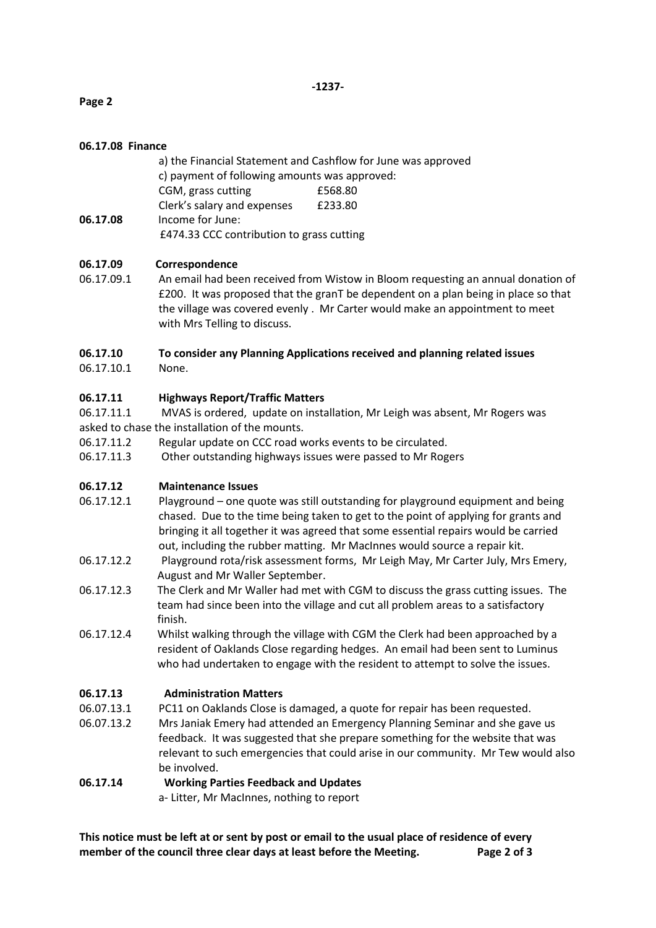# **Page 2**

## **06.17.08 Finance**

a) the Financial Statement and Cashflow for June was approved c) payment of following amounts was approved: CGM, grass cutting £568.80 Clerk's salary and expenses £233.80 **06.17.08** Income for June: £474.33 CCC contribution to grass cutting

## **06.17.09 Correspondence**

06.17.09.1 An email had been received from Wistow in Bloom requesting an annual donation of £200. It was proposed that the granT be dependent on a plan being in place so that the village was covered evenly . Mr Carter would make an appointment to meet with Mrs Telling to discuss.

# **06.17.10 To consider any Planning Applications received and planning related issues**

06.17.10.1 None.

## **06.17.11 Highways Report/Traffic Matters**

06.17.11.1 MVAS is ordered, update on installation, Mr Leigh was absent, Mr Rogers was asked to chase the installation of the mounts.

- 06.17.11.2 Regular update on CCC road works events to be circulated.
- 06.17.11.3 Other outstanding highways issues were passed to Mr Rogers

### **06.17.12 Maintenance Issues**

- 06.17.12.1 Playground one quote was still outstanding for playground equipment and being chased. Due to the time being taken to get to the point of applying for grants and bringing it all together it was agreed that some essential repairs would be carried out, including the rubber matting. Mr MacInnes would source a repair kit.
- 06.17.12.2 Playground rota/risk assessment forms, Mr Leigh May, Mr Carter July, Mrs Emery, August and Mr Waller September.
- 06.17.12.3 The Clerk and Mr Waller had met with CGM to discuss the grass cutting issues. The team had since been into the village and cut all problem areas to a satisfactory finish.
- 06.17.12.4 Whilst walking through the village with CGM the Clerk had been approached by a resident of Oaklands Close regarding hedges. An email had been sent to Luminus who had undertaken to engage with the resident to attempt to solve the issues.

### **06.17.13 Administration Matters**

- 06.07.13.1 PC11 on Oaklands Close is damaged, a quote for repair has been requested.
- 06.07.13.2 Mrs Janiak Emery had attended an Emergency Planning Seminar and she gave us feedback. It was suggested that she prepare something for the website that was relevant to such emergencies that could arise in our community. Mr Tew would also be involved.

### **06.17.14 Working Parties Feedback and Updates**

a- Litter, Mr MacInnes, nothing to report

**This notice must be left at or sent by post or email to the usual place of residence of every member of the council three clear days at least before the Meeting. Page 2 of 3**